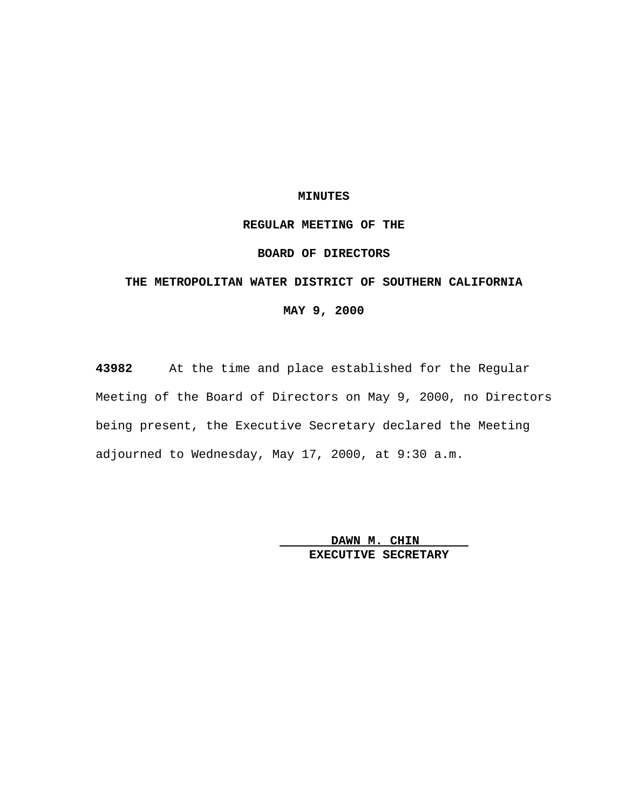### **MINUTES**

## **REGULAR MEETING OF THE**

# **BOARD OF DIRECTORS**

# **THE METROPOLITAN WATER DISTRICT OF SOUTHERN CALIFORNIA**

# **MAY 9, 2000**

**43982** At the time and place established for the Regular Meeting of the Board of Directors on May 9, 2000, no Directors being present, the Executive Secretary declared the Meeting adjourned to Wednesday, May 17, 2000, at 9:30 a.m.

> **DAWN M. CHIN EXECUTIVE SECRETARY**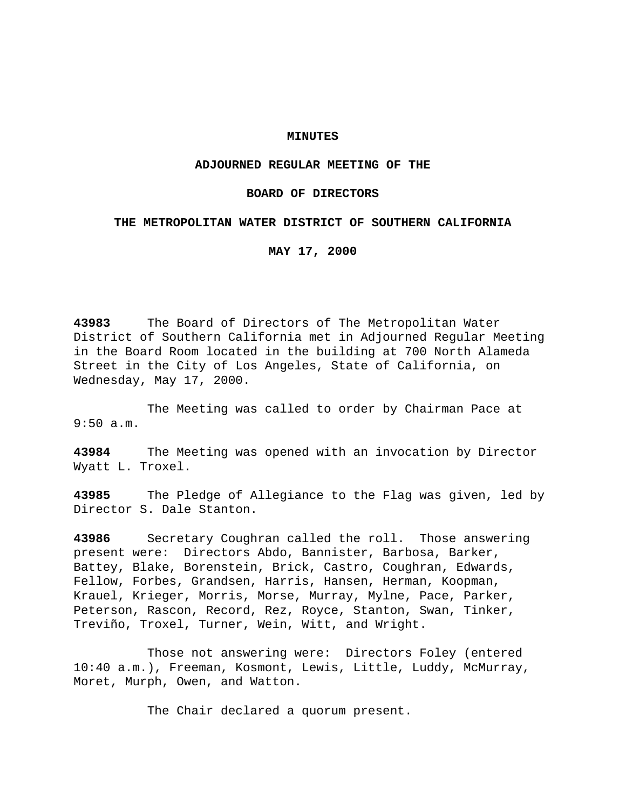### **MINUTES**

### **ADJOURNED REGULAR MEETING OF THE**

### **BOARD OF DIRECTORS**

### **THE METROPOLITAN WATER DISTRICT OF SOUTHERN CALIFORNIA**

**MAY 17, 2000**

**43983** The Board of Directors of The Metropolitan Water District of Southern California met in Adjourned Regular Meeting in the Board Room located in the building at 700 North Alameda Street in the City of Los Angeles, State of California, on Wednesday, May 17, 2000.

The Meeting was called to order by Chairman Pace at 9:50 a.m.

**43984** The Meeting was opened with an invocation by Director Wyatt L. Troxel.

**43985** The Pledge of Allegiance to the Flag was given, led by Director S. Dale Stanton.

**43986** Secretary Coughran called the roll. Those answering present were: Directors Abdo, Bannister, Barbosa, Barker, Battey, Blake, Borenstein, Brick, Castro, Coughran, Edwards, Fellow, Forbes, Grandsen, Harris, Hansen, Herman, Koopman, Krauel, Krieger, Morris, Morse, Murray, Mylne, Pace, Parker, Peterson, Rascon, Record, Rez, Royce, Stanton, Swan, Tinker, Treviño, Troxel, Turner, Wein, Witt, and Wright.

Those not answering were: Directors Foley (entered 10:40 a.m.), Freeman, Kosmont, Lewis, Little, Luddy, McMurray, Moret, Murph, Owen, and Watton.

The Chair declared a quorum present.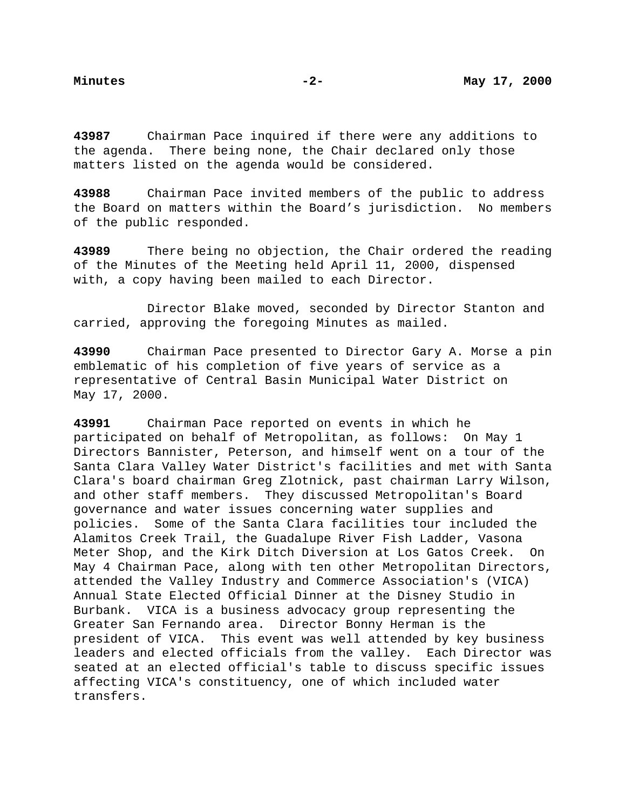**43987** Chairman Pace inquired if there were any additions to the agenda. There being none, the Chair declared only those matters listed on the agenda would be considered.

**43988** Chairman Pace invited members of the public to address the Board on matters within the Board's jurisdiction. No members of the public responded.

**43989** There being no objection, the Chair ordered the reading of the Minutes of the Meeting held April 11, 2000, dispensed with, a copy having been mailed to each Director.

Director Blake moved, seconded by Director Stanton and carried, approving the foregoing Minutes as mailed.

**43990** Chairman Pace presented to Director Gary A. Morse a pin emblematic of his completion of five years of service as a representative of Central Basin Municipal Water District on May 17, 2000.

**43991** Chairman Pace reported on events in which he participated on behalf of Metropolitan, as follows: On May 1 Directors Bannister, Peterson, and himself went on a tour of the Santa Clara Valley Water District's facilities and met with Santa Clara's board chairman Greg Zlotnick, past chairman Larry Wilson, and other staff members. They discussed Metropolitan's Board governance and water issues concerning water supplies and policies. Some of the Santa Clara facilities tour included the Alamitos Creek Trail, the Guadalupe River Fish Ladder, Vasona Meter Shop, and the Kirk Ditch Diversion at Los Gatos Creek. On May 4 Chairman Pace, along with ten other Metropolitan Directors, attended the Valley Industry and Commerce Association's (VICA) Annual State Elected Official Dinner at the Disney Studio in Burbank. VICA is a business advocacy group representing the Greater San Fernando area. Director Bonny Herman is the president of VICA. This event was well attended by key business leaders and elected officials from the valley. Each Director was seated at an elected official's table to discuss specific issues affecting VICA's constituency, one of which included water transfers.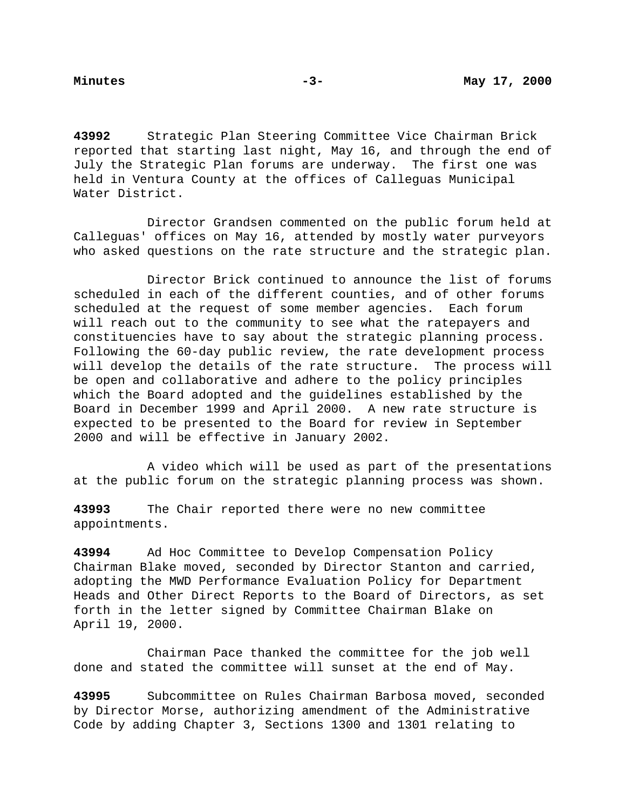**43992** Strategic Plan Steering Committee Vice Chairman Brick reported that starting last night, May 16, and through the end of July the Strategic Plan forums are underway. The first one was held in Ventura County at the offices of Calleguas Municipal Water District.

Director Grandsen commented on the public forum held at Calleguas' offices on May 16, attended by mostly water purveyors who asked questions on the rate structure and the strategic plan.

Director Brick continued to announce the list of forums scheduled in each of the different counties, and of other forums scheduled at the request of some member agencies. Each forum will reach out to the community to see what the ratepayers and constituencies have to say about the strategic planning process. Following the 60-day public review, the rate development process will develop the details of the rate structure. The process will be open and collaborative and adhere to the policy principles which the Board adopted and the guidelines established by the Board in December 1999 and April 2000. A new rate structure is expected to be presented to the Board for review in September 2000 and will be effective in January 2002.

A video which will be used as part of the presentations at the public forum on the strategic planning process was shown.

**43993** The Chair reported there were no new committee appointments.

**43994** Ad Hoc Committee to Develop Compensation Policy Chairman Blake moved, seconded by Director Stanton and carried, adopting the MWD Performance Evaluation Policy for Department Heads and Other Direct Reports to the Board of Directors, as set forth in the letter signed by Committee Chairman Blake on April 19, 2000.

Chairman Pace thanked the committee for the job well done and stated the committee will sunset at the end of May.

**43995** Subcommittee on Rules Chairman Barbosa moved, seconded by Director Morse, authorizing amendment of the Administrative Code by adding Chapter 3, Sections 1300 and 1301 relating to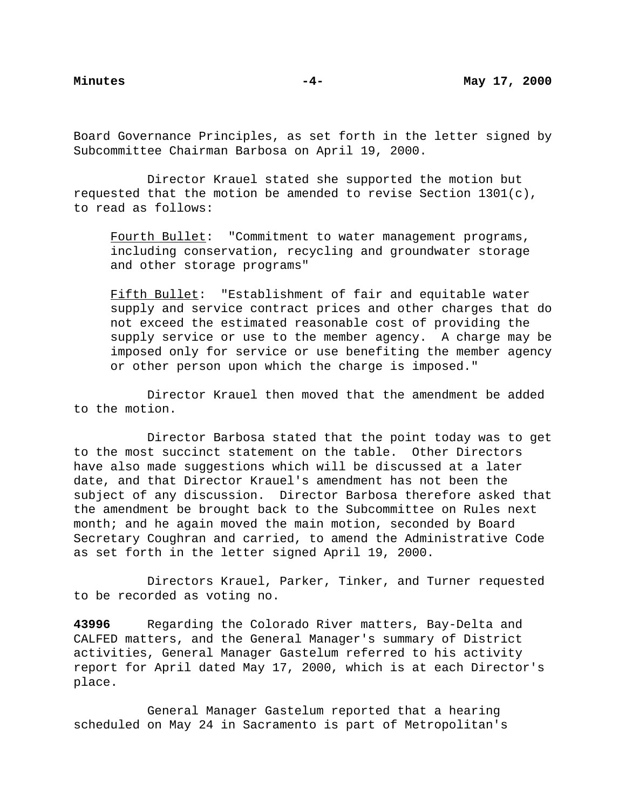Board Governance Principles, as set forth in the letter signed by Subcommittee Chairman Barbosa on April 19, 2000.

Director Krauel stated she supported the motion but requested that the motion be amended to revise Section 1301(c), to read as follows:

Fourth Bullet: "Commitment to water management programs, including conservation, recycling and groundwater storage and other storage programs"

Fifth Bullet: "Establishment of fair and equitable water supply and service contract prices and other charges that do not exceed the estimated reasonable cost of providing the supply service or use to the member agency. A charge may be imposed only for service or use benefiting the member agency or other person upon which the charge is imposed."

Director Krauel then moved that the amendment be added to the motion.

Director Barbosa stated that the point today was to get to the most succinct statement on the table. Other Directors have also made suggestions which will be discussed at a later date, and that Director Krauel's amendment has not been the subject of any discussion. Director Barbosa therefore asked that the amendment be brought back to the Subcommittee on Rules next month; and he again moved the main motion, seconded by Board Secretary Coughran and carried, to amend the Administrative Code as set forth in the letter signed April 19, 2000.

Directors Krauel, Parker, Tinker, and Turner requested to be recorded as voting no.

**43996** Regarding the Colorado River matters, Bay-Delta and CALFED matters, and the General Manager's summary of District activities, General Manager Gastelum referred to his activity report for April dated May 17, 2000, which is at each Director's place.

General Manager Gastelum reported that a hearing scheduled on May 24 in Sacramento is part of Metropolitan's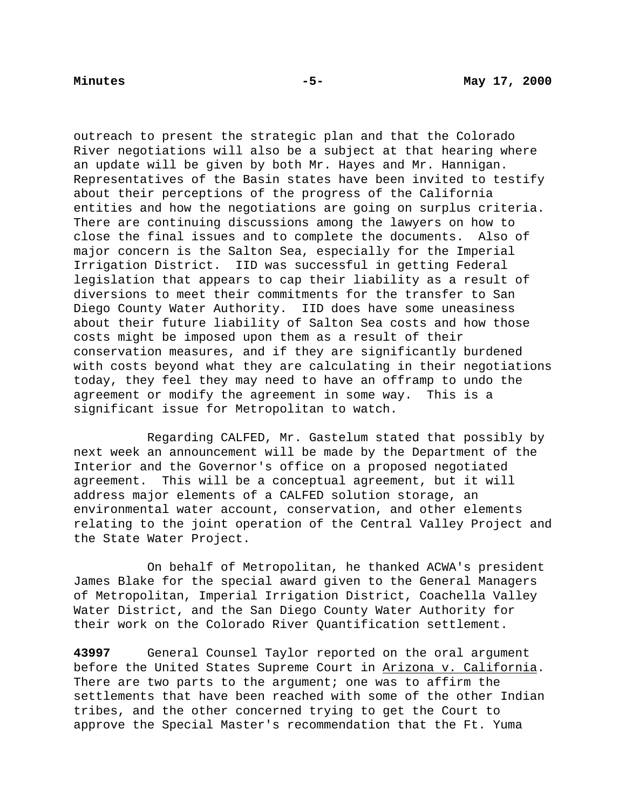outreach to present the strategic plan and that the Colorado River negotiations will also be a subject at that hearing where an update will be given by both Mr. Hayes and Mr. Hannigan. Representatives of the Basin states have been invited to testify about their perceptions of the progress of the California entities and how the negotiations are going on surplus criteria. There are continuing discussions among the lawyers on how to close the final issues and to complete the documents. Also of major concern is the Salton Sea, especially for the Imperial Irrigation District. IID was successful in getting Federal legislation that appears to cap their liability as a result of diversions to meet their commitments for the transfer to San Diego County Water Authority. IID does have some uneasiness about their future liability of Salton Sea costs and how those costs might be imposed upon them as a result of their conservation measures, and if they are significantly burdened with costs beyond what they are calculating in their negotiations today, they feel they may need to have an offramp to undo the agreement or modify the agreement in some way. This is a significant issue for Metropolitan to watch.

Regarding CALFED, Mr. Gastelum stated that possibly by next week an announcement will be made by the Department of the Interior and the Governor's office on a proposed negotiated agreement. This will be a conceptual agreement, but it will address major elements of a CALFED solution storage, an environmental water account, conservation, and other elements relating to the joint operation of the Central Valley Project and the State Water Project.

On behalf of Metropolitan, he thanked ACWA's president James Blake for the special award given to the General Managers of Metropolitan, Imperial Irrigation District, Coachella Valley Water District, and the San Diego County Water Authority for their work on the Colorado River Quantification settlement.

**43997** General Counsel Taylor reported on the oral argument before the United States Supreme Court in Arizona v. California. There are two parts to the argument; one was to affirm the settlements that have been reached with some of the other Indian tribes, and the other concerned trying to get the Court to approve the Special Master's recommendation that the Ft. Yuma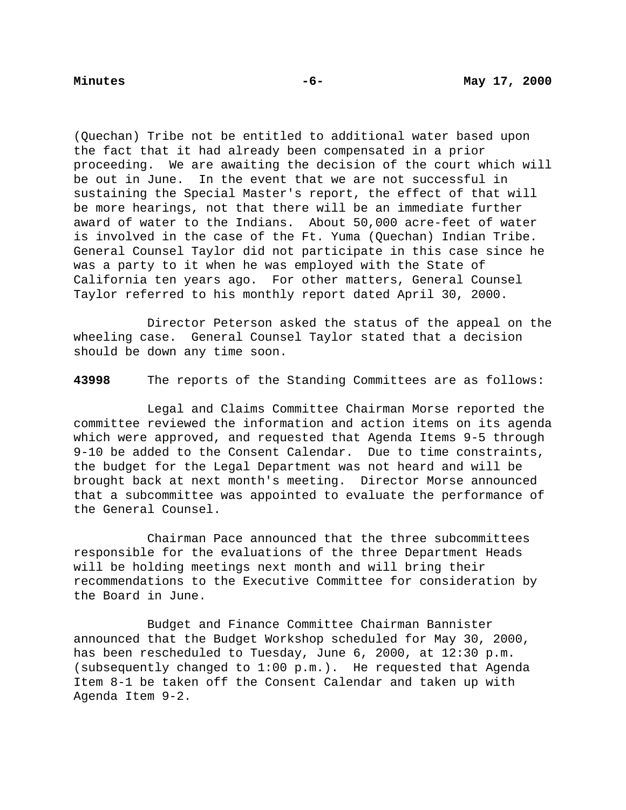(Quechan) Tribe not be entitled to additional water based upon the fact that it had already been compensated in a prior proceeding. We are awaiting the decision of the court which will be out in June. In the event that we are not successful in sustaining the Special Master's report, the effect of that will be more hearings, not that there will be an immediate further award of water to the Indians. About 50,000 acre-feet of water is involved in the case of the Ft. Yuma (Quechan) Indian Tribe. General Counsel Taylor did not participate in this case since he was a party to it when he was employed with the State of California ten years ago. For other matters, General Counsel Taylor referred to his monthly report dated April 30, 2000.

Director Peterson asked the status of the appeal on the wheeling case. General Counsel Taylor stated that a decision should be down any time soon.

**43998** The reports of the Standing Committees are as follows:

Legal and Claims Committee Chairman Morse reported the committee reviewed the information and action items on its agenda which were approved, and requested that Agenda Items 9-5 through 9-10 be added to the Consent Calendar. Due to time constraints, the budget for the Legal Department was not heard and will be brought back at next month's meeting. Director Morse announced that a subcommittee was appointed to evaluate the performance of the General Counsel.

Chairman Pace announced that the three subcommittees responsible for the evaluations of the three Department Heads will be holding meetings next month and will bring their recommendations to the Executive Committee for consideration by the Board in June.

Budget and Finance Committee Chairman Bannister announced that the Budget Workshop scheduled for May 30, 2000, has been rescheduled to Tuesday, June 6, 2000, at 12:30 p.m. (subsequently changed to 1:00 p.m.). He requested that Agenda Item 8-1 be taken off the Consent Calendar and taken up with Agenda Item 9-2.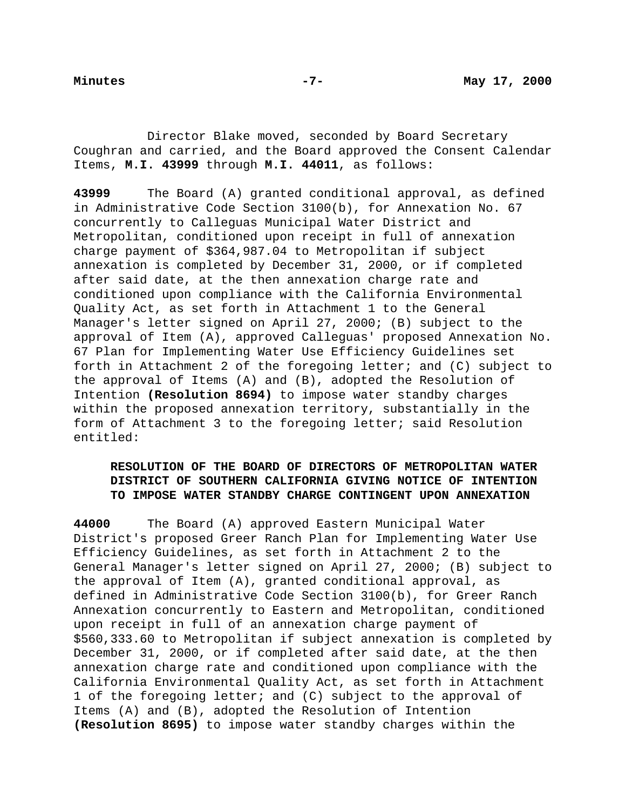Director Blake moved, seconded by Board Secretary Coughran and carried, and the Board approved the Consent Calendar Items, **M.I. 43999** through **M.I. 44011**, as follows:

**43999** The Board (A) granted conditional approval, as defined in Administrative Code Section 3100(b), for Annexation No. 67 concurrently to Calleguas Municipal Water District and Metropolitan, conditioned upon receipt in full of annexation charge payment of \$364,987.04 to Metropolitan if subject annexation is completed by December 31, 2000, or if completed after said date, at the then annexation charge rate and conditioned upon compliance with the California Environmental Quality Act, as set forth in Attachment 1 to the General Manager's letter signed on April 27, 2000; (B) subject to the approval of Item (A), approved Calleguas' proposed Annexation No. 67 Plan for Implementing Water Use Efficiency Guidelines set forth in Attachment 2 of the foregoing letter; and (C) subject to the approval of Items (A) and (B), adopted the Resolution of Intention **(Resolution 8694)** to impose water standby charges within the proposed annexation territory, substantially in the form of Attachment 3 to the foregoing letter; said Resolution entitled:

# **RESOLUTION OF THE BOARD OF DIRECTORS OF METROPOLITAN WATER DISTRICT OF SOUTHERN CALIFORNIA GIVING NOTICE OF INTENTION TO IMPOSE WATER STANDBY CHARGE CONTINGENT UPON ANNEXATION**

**44000** The Board (A) approved Eastern Municipal Water District's proposed Greer Ranch Plan for Implementing Water Use Efficiency Guidelines, as set forth in Attachment 2 to the General Manager's letter signed on April 27, 2000; (B) subject to the approval of Item (A), granted conditional approval, as defined in Administrative Code Section 3100(b), for Greer Ranch Annexation concurrently to Eastern and Metropolitan, conditioned upon receipt in full of an annexation charge payment of \$560,333.60 to Metropolitan if subject annexation is completed by December 31, 2000, or if completed after said date, at the then annexation charge rate and conditioned upon compliance with the California Environmental Quality Act, as set forth in Attachment 1 of the foregoing letter; and (C) subject to the approval of Items (A) and (B), adopted the Resolution of Intention **(Resolution 8695)** to impose water standby charges within the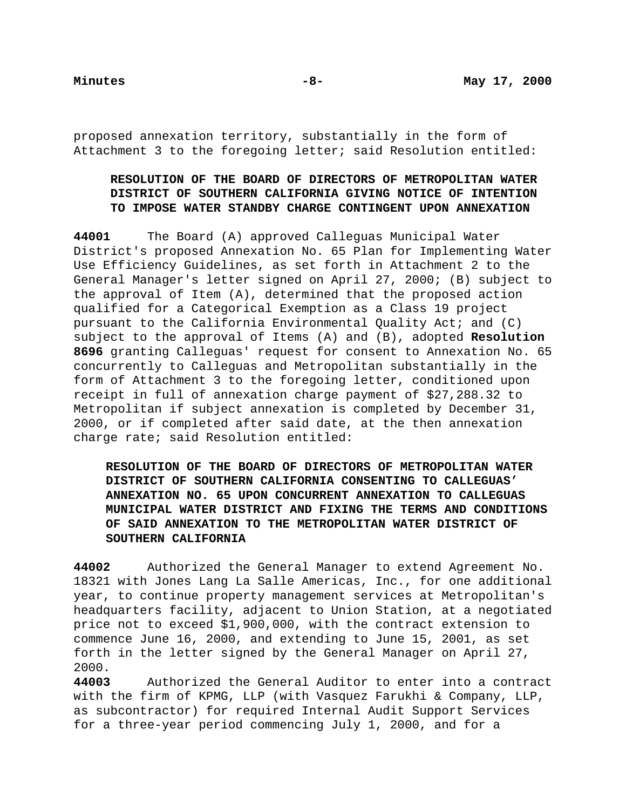proposed annexation territory, substantially in the form of Attachment 3 to the foregoing letter; said Resolution entitled:

# **RESOLUTION OF THE BOARD OF DIRECTORS OF METROPOLITAN WATER DISTRICT OF SOUTHERN CALIFORNIA GIVING NOTICE OF INTENTION TO IMPOSE WATER STANDBY CHARGE CONTINGENT UPON ANNEXATION**

**44001** The Board (A) approved Calleguas Municipal Water District's proposed Annexation No. 65 Plan for Implementing Water Use Efficiency Guidelines, as set forth in Attachment 2 to the General Manager's letter signed on April 27, 2000; (B) subject to the approval of Item (A), determined that the proposed action qualified for a Categorical Exemption as a Class 19 project pursuant to the California Environmental Quality Act; and (C) subject to the approval of Items (A) and (B), adopted **Resolution 8696** granting Calleguas' request for consent to Annexation No. 65 concurrently to Calleguas and Metropolitan substantially in the form of Attachment 3 to the foregoing letter, conditioned upon receipt in full of annexation charge payment of \$27,288.32 to Metropolitan if subject annexation is completed by December 31, 2000, or if completed after said date, at the then annexation charge rate; said Resolution entitled:

**RESOLUTION OF THE BOARD OF DIRECTORS OF METROPOLITAN WATER DISTRICT OF SOUTHERN CALIFORNIA CONSENTING TO CALLEGUAS' ANNEXATION NO. 65 UPON CONCURRENT ANNEXATION TO CALLEGUAS MUNICIPAL WATER DISTRICT AND FIXING THE TERMS AND CONDITIONS OF SAID ANNEXATION TO THE METROPOLITAN WATER DISTRICT OF SOUTHERN CALIFORNIA**

**44002** Authorized the General Manager to extend Agreement No. 18321 with Jones Lang La Salle Americas, Inc., for one additional year, to continue property management services at Metropolitan's headquarters facility, adjacent to Union Station, at a negotiated price not to exceed \$1,900,000, with the contract extension to commence June 16, 2000, and extending to June 15, 2001, as set forth in the letter signed by the General Manager on April 27, 2000.

**44003** Authorized the General Auditor to enter into a contract with the firm of KPMG, LLP (with Vasquez Farukhi & Company, LLP, as subcontractor) for required Internal Audit Support Services for a three-year period commencing July 1, 2000, and for a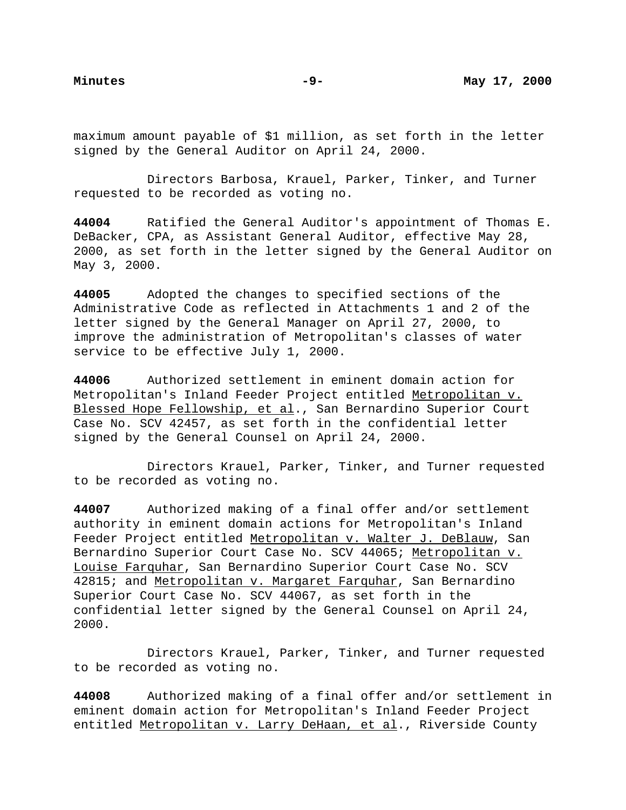maximum amount payable of \$1 million, as set forth in the letter signed by the General Auditor on April 24, 2000.

Directors Barbosa, Krauel, Parker, Tinker, and Turner requested to be recorded as voting no.

**44004** Ratified the General Auditor's appointment of Thomas E. DeBacker, CPA, as Assistant General Auditor, effective May 28, 2000, as set forth in the letter signed by the General Auditor on May 3, 2000.

**44005** Adopted the changes to specified sections of the Administrative Code as reflected in Attachments 1 and 2 of the letter signed by the General Manager on April 27, 2000, to improve the administration of Metropolitan's classes of water service to be effective July 1, 2000.

**44006** Authorized settlement in eminent domain action for Metropolitan's Inland Feeder Project entitled Metropolitan v. Blessed Hope Fellowship, et al., San Bernardino Superior Court Case No. SCV 42457, as set forth in the confidential letter signed by the General Counsel on April 24, 2000.

Directors Krauel, Parker, Tinker, and Turner requested to be recorded as voting no.

**44007** Authorized making of a final offer and/or settlement authority in eminent domain actions for Metropolitan's Inland Feeder Project entitled Metropolitan v. Walter J. DeBlauw, San Bernardino Superior Court Case No. SCV 44065; Metropolitan v. Louise Farquhar, San Bernardino Superior Court Case No. SCV 42815; and Metropolitan v. Margaret Farquhar, San Bernardino Superior Court Case No. SCV 44067, as set forth in the confidential letter signed by the General Counsel on April 24, 2000.

Directors Krauel, Parker, Tinker, and Turner requested to be recorded as voting no.

**44008** Authorized making of a final offer and/or settlement in eminent domain action for Metropolitan's Inland Feeder Project entitled Metropolitan v. Larry DeHaan, et al., Riverside County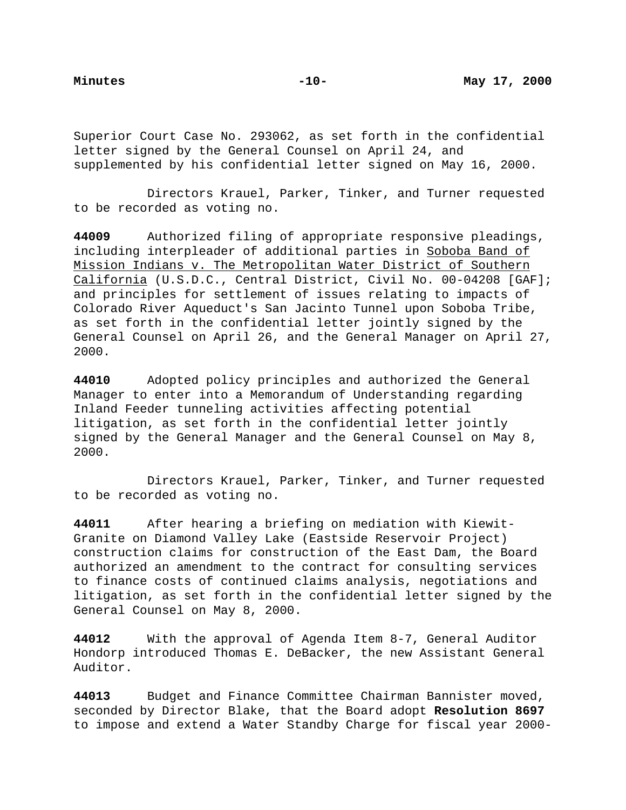Superior Court Case No. 293062, as set forth in the confidential letter signed by the General Counsel on April 24, and supplemented by his confidential letter signed on May 16, 2000.

Directors Krauel, Parker, Tinker, and Turner requested to be recorded as voting no.

**44009** Authorized filing of appropriate responsive pleadings, including interpleader of additional parties in Soboba Band of Mission Indians v. The Metropolitan Water District of Southern California (U.S.D.C., Central District, Civil No. 00-04208 [GAF]; and principles for settlement of issues relating to impacts of Colorado River Aqueduct's San Jacinto Tunnel upon Soboba Tribe, as set forth in the confidential letter jointly signed by the General Counsel on April 26, and the General Manager on April 27, 2000.

**44010** Adopted policy principles and authorized the General Manager to enter into a Memorandum of Understanding regarding Inland Feeder tunneling activities affecting potential litigation, as set forth in the confidential letter jointly signed by the General Manager and the General Counsel on May 8, 2000.

Directors Krauel, Parker, Tinker, and Turner requested to be recorded as voting no.

**44011** After hearing a briefing on mediation with Kiewit-Granite on Diamond Valley Lake (Eastside Reservoir Project) construction claims for construction of the East Dam, the Board authorized an amendment to the contract for consulting services to finance costs of continued claims analysis, negotiations and litigation, as set forth in the confidential letter signed by the General Counsel on May 8, 2000.

**44012** With the approval of Agenda Item 8-7, General Auditor Hondorp introduced Thomas E. DeBacker, the new Assistant General Auditor.

**44013** Budget and Finance Committee Chairman Bannister moved, seconded by Director Blake, that the Board adopt **Resolution 8697** to impose and extend a Water Standby Charge for fiscal year 2000-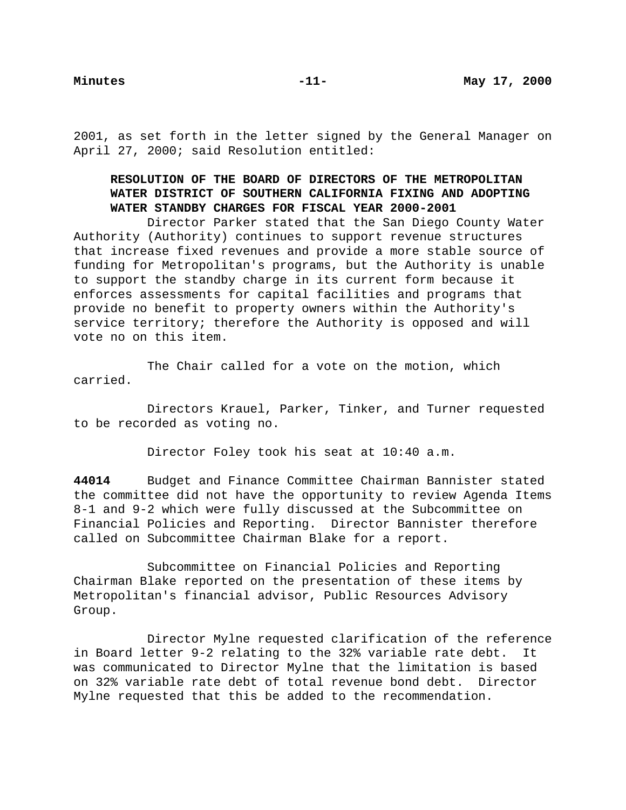2001, as set forth in the letter signed by the General Manager on April 27, 2000; said Resolution entitled:

# **RESOLUTION OF THE BOARD OF DIRECTORS OF THE METROPOLITAN WATER DISTRICT OF SOUTHERN CALIFORNIA FIXING AND ADOPTING WATER STANDBY CHARGES FOR FISCAL YEAR 2000-2001**

Director Parker stated that the San Diego County Water Authority (Authority) continues to support revenue structures that increase fixed revenues and provide a more stable source of funding for Metropolitan's programs, but the Authority is unable to support the standby charge in its current form because it enforces assessments for capital facilities and programs that provide no benefit to property owners within the Authority's service territory; therefore the Authority is opposed and will vote no on this item.

The Chair called for a vote on the motion, which carried.

Directors Krauel, Parker, Tinker, and Turner requested to be recorded as voting no.

Director Foley took his seat at 10:40 a.m.

**44014** Budget and Finance Committee Chairman Bannister stated the committee did not have the opportunity to review Agenda Items 8-1 and 9-2 which were fully discussed at the Subcommittee on Financial Policies and Reporting. Director Bannister therefore called on Subcommittee Chairman Blake for a report.

Subcommittee on Financial Policies and Reporting Chairman Blake reported on the presentation of these items by Metropolitan's financial advisor, Public Resources Advisory Group.

Director Mylne requested clarification of the reference in Board letter 9-2 relating to the 32% variable rate debt. It was communicated to Director Mylne that the limitation is based on 32% variable rate debt of total revenue bond debt. Director Mylne requested that this be added to the recommendation.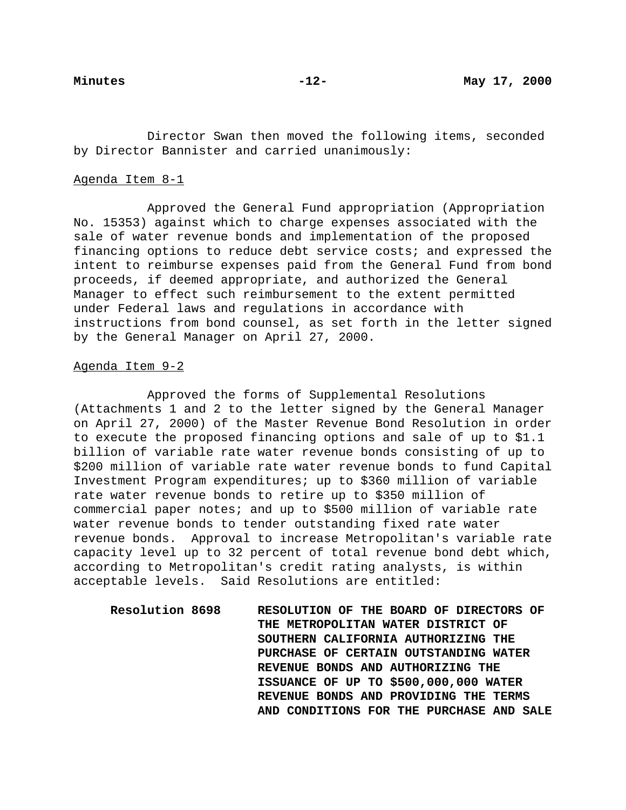Director Swan then moved the following items, seconded by Director Bannister and carried unanimously:

### Agenda Item 8-1

Approved the General Fund appropriation (Appropriation No. 15353) against which to charge expenses associated with the sale of water revenue bonds and implementation of the proposed financing options to reduce debt service costs; and expressed the intent to reimburse expenses paid from the General Fund from bond proceeds, if deemed appropriate, and authorized the General Manager to effect such reimbursement to the extent permitted under Federal laws and regulations in accordance with instructions from bond counsel, as set forth in the letter signed by the General Manager on April 27, 2000.

## Agenda Item 9-2

Approved the forms of Supplemental Resolutions (Attachments 1 and 2 to the letter signed by the General Manager on April 27, 2000) of the Master Revenue Bond Resolution in order to execute the proposed financing options and sale of up to \$1.1 billion of variable rate water revenue bonds consisting of up to \$200 million of variable rate water revenue bonds to fund Capital Investment Program expenditures; up to \$360 million of variable rate water revenue bonds to retire up to \$350 million of commercial paper notes; and up to \$500 million of variable rate water revenue bonds to tender outstanding fixed rate water revenue bonds. Approval to increase Metropolitan's variable rate capacity level up to 32 percent of total revenue bond debt which, according to Metropolitan's credit rating analysts, is within acceptable levels. Said Resolutions are entitled:

**Resolution 8698 RESOLUTION OF THE BOARD OF DIRECTORS OF THE METROPOLITAN WATER DISTRICT OF SOUTHERN CALIFORNIA AUTHORIZING THE PURCHASE OF CERTAIN OUTSTANDING WATER REVENUE BONDS AND AUTHORIZING THE ISSUANCE OF UP TO \$500,000,000 WATER REVENUE BONDS AND PROVIDING THE TERMS AND CONDITIONS FOR THE PURCHASE AND SALE**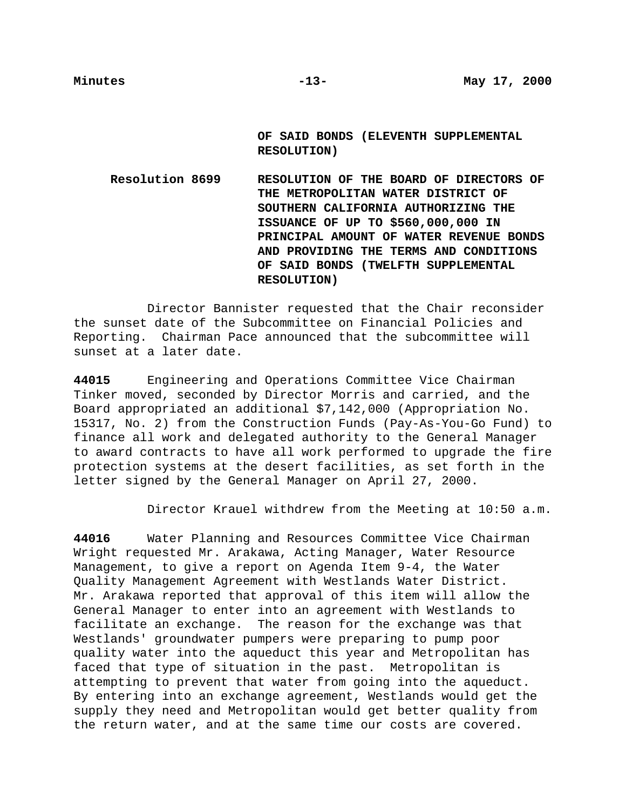**OF SAID BONDS (ELEVENTH SUPPLEMENTAL RESOLUTION)**

**Resolution 8699 RESOLUTION OF THE BOARD OF DIRECTORS OF THE METROPOLITAN WATER DISTRICT OF SOUTHERN CALIFORNIA AUTHORIZING THE ISSUANCE OF UP TO \$560,000,000 IN PRINCIPAL AMOUNT OF WATER REVENUE BONDS AND PROVIDING THE TERMS AND CONDITIONS OF SAID BONDS (TWELFTH SUPPLEMENTAL RESOLUTION)**

Director Bannister requested that the Chair reconsider the sunset date of the Subcommittee on Financial Policies and Reporting. Chairman Pace announced that the subcommittee will sunset at a later date.

**44015** Engineering and Operations Committee Vice Chairman Tinker moved, seconded by Director Morris and carried, and the Board appropriated an additional \$7,142,000 (Appropriation No. 15317, No. 2) from the Construction Funds (Pay-As-You-Go Fund) to finance all work and delegated authority to the General Manager to award contracts to have all work performed to upgrade the fire protection systems at the desert facilities, as set forth in the letter signed by the General Manager on April 27, 2000.

Director Krauel withdrew from the Meeting at 10:50 a.m.

**44016** Water Planning and Resources Committee Vice Chairman Wright requested Mr. Arakawa, Acting Manager, Water Resource Management, to give a report on Agenda Item 9-4, the Water Quality Management Agreement with Westlands Water District. Mr. Arakawa reported that approval of this item will allow the General Manager to enter into an agreement with Westlands to facilitate an exchange. The reason for the exchange was that Westlands' groundwater pumpers were preparing to pump poor quality water into the aqueduct this year and Metropolitan has faced that type of situation in the past. Metropolitan is attempting to prevent that water from going into the aqueduct. By entering into an exchange agreement, Westlands would get the supply they need and Metropolitan would get better quality from the return water, and at the same time our costs are covered.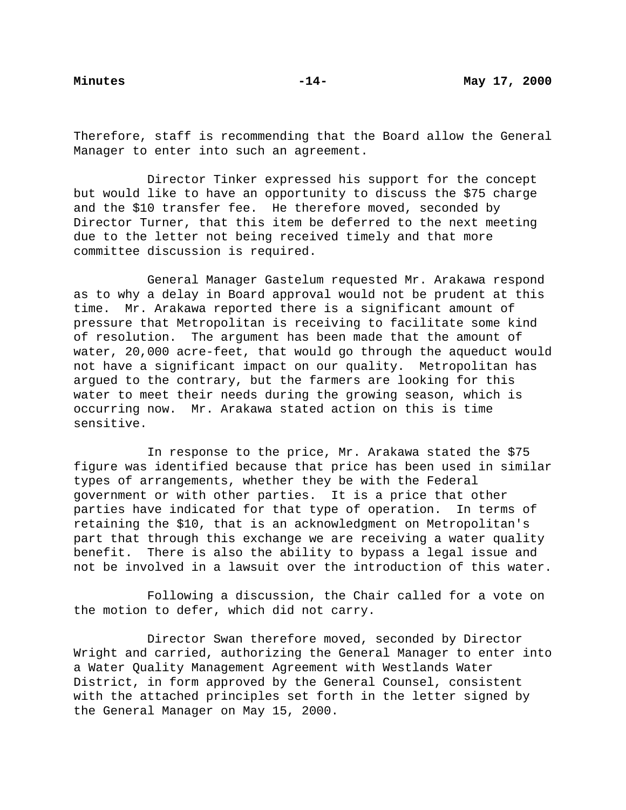Therefore, staff is recommending that the Board allow the General Manager to enter into such an agreement.

Director Tinker expressed his support for the concept but would like to have an opportunity to discuss the \$75 charge and the \$10 transfer fee. He therefore moved, seconded by Director Turner, that this item be deferred to the next meeting due to the letter not being received timely and that more committee discussion is required.

General Manager Gastelum requested Mr. Arakawa respond as to why a delay in Board approval would not be prudent at this time. Mr. Arakawa reported there is a significant amount of pressure that Metropolitan is receiving to facilitate some kind of resolution. The argument has been made that the amount of water, 20,000 acre-feet, that would go through the aqueduct would not have a significant impact on our quality. Metropolitan has argued to the contrary, but the farmers are looking for this water to meet their needs during the growing season, which is occurring now. Mr. Arakawa stated action on this is time sensitive.

In response to the price, Mr. Arakawa stated the \$75 figure was identified because that price has been used in similar types of arrangements, whether they be with the Federal government or with other parties. It is a price that other parties have indicated for that type of operation. In terms of retaining the \$10, that is an acknowledgment on Metropolitan's part that through this exchange we are receiving a water quality benefit. There is also the ability to bypass a legal issue and not be involved in a lawsuit over the introduction of this water.

Following a discussion, the Chair called for a vote on the motion to defer, which did not carry.

Director Swan therefore moved, seconded by Director Wright and carried, authorizing the General Manager to enter into a Water Quality Management Agreement with Westlands Water District, in form approved by the General Counsel, consistent with the attached principles set forth in the letter signed by the General Manager on May 15, 2000.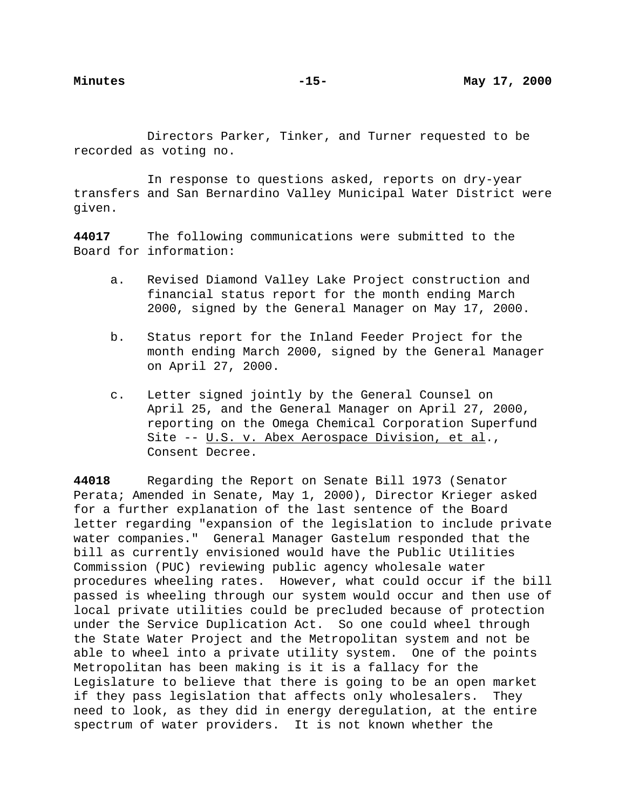Directors Parker, Tinker, and Turner requested to be recorded as voting no.

In response to questions asked, reports on dry-year transfers and San Bernardino Valley Municipal Water District were given.

**44017** The following communications were submitted to the Board for information:

- a. Revised Diamond Valley Lake Project construction and financial status report for the month ending March 2000, signed by the General Manager on May 17, 2000.
- b. Status report for the Inland Feeder Project for the month ending March 2000, signed by the General Manager on April 27, 2000.
- c. Letter signed jointly by the General Counsel on April 25, and the General Manager on April 27, 2000, reporting on the Omega Chemical Corporation Superfund Site -- U.S. v. Abex Aerospace Division, et al., Consent Decree.

**44018** Regarding the Report on Senate Bill 1973 (Senator Perata; Amended in Senate, May 1, 2000), Director Krieger asked for a further explanation of the last sentence of the Board letter regarding "expansion of the legislation to include private water companies." General Manager Gastelum responded that the bill as currently envisioned would have the Public Utilities Commission (PUC) reviewing public agency wholesale water procedures wheeling rates. However, what could occur if the bill passed is wheeling through our system would occur and then use of local private utilities could be precluded because of protection under the Service Duplication Act. So one could wheel through the State Water Project and the Metropolitan system and not be able to wheel into a private utility system. One of the points Metropolitan has been making is it is a fallacy for the Legislature to believe that there is going to be an open market if they pass legislation that affects only wholesalers. They need to look, as they did in energy deregulation, at the entire spectrum of water providers. It is not known whether the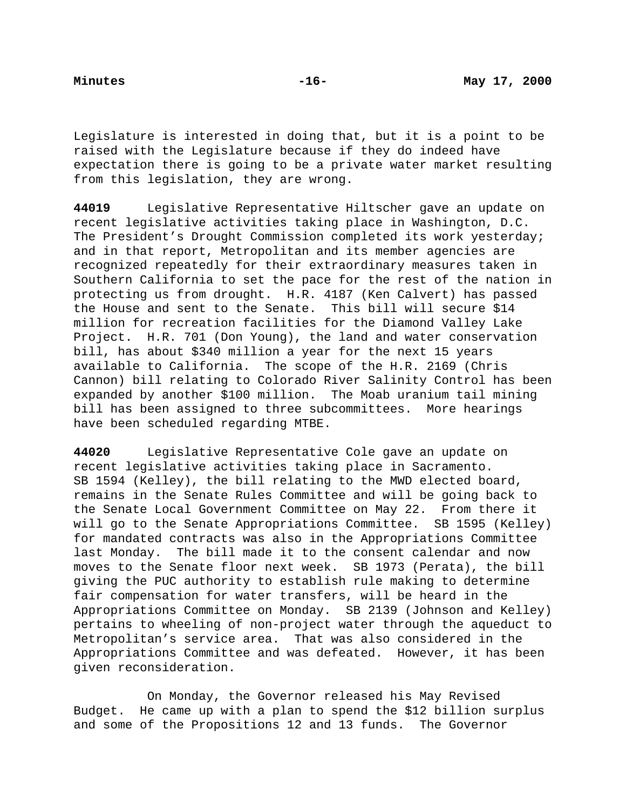Legislature is interested in doing that, but it is a point to be raised with the Legislature because if they do indeed have expectation there is going to be a private water market resulting from this legislation, they are wrong.

**44019** Legislative Representative Hiltscher gave an update on recent legislative activities taking place in Washington, D.C. The President's Drought Commission completed its work yesterday; and in that report, Metropolitan and its member agencies are recognized repeatedly for their extraordinary measures taken in Southern California to set the pace for the rest of the nation in protecting us from drought. H.R. 4187 (Ken Calvert) has passed the House and sent to the Senate. This bill will secure \$14 million for recreation facilities for the Diamond Valley Lake Project. H.R. 701 (Don Young), the land and water conservation bill, has about \$340 million a year for the next 15 years available to California. The scope of the H.R. 2169 (Chris Cannon) bill relating to Colorado River Salinity Control has been expanded by another \$100 million. The Moab uranium tail mining bill has been assigned to three subcommittees. More hearings have been scheduled regarding MTBE.

**44020** Legislative Representative Cole gave an update on recent legislative activities taking place in Sacramento. SB 1594 (Kelley), the bill relating to the MWD elected board, remains in the Senate Rules Committee and will be going back to the Senate Local Government Committee on May 22. From there it will go to the Senate Appropriations Committee. SB 1595 (Kelley) for mandated contracts was also in the Appropriations Committee last Monday. The bill made it to the consent calendar and now moves to the Senate floor next week. SB 1973 (Perata), the bill giving the PUC authority to establish rule making to determine fair compensation for water transfers, will be heard in the Appropriations Committee on Monday. SB 2139 (Johnson and Kelley) pertains to wheeling of non-project water through the aqueduct to Metropolitan's service area. That was also considered in the Appropriations Committee and was defeated. However, it has been given reconsideration.

On Monday, the Governor released his May Revised Budget. He came up with a plan to spend the \$12 billion surplus and some of the Propositions 12 and 13 funds. The Governor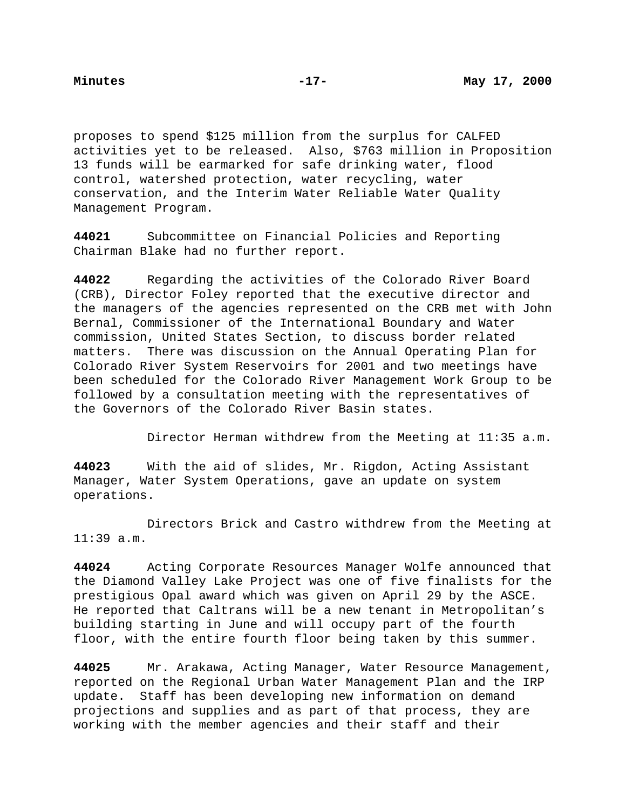proposes to spend \$125 million from the surplus for CALFED activities yet to be released. Also, \$763 million in Proposition 13 funds will be earmarked for safe drinking water, flood control, watershed protection, water recycling, water conservation, and the Interim Water Reliable Water Quality Management Program.

**44021** Subcommittee on Financial Policies and Reporting Chairman Blake had no further report.

**44022** Regarding the activities of the Colorado River Board (CRB), Director Foley reported that the executive director and the managers of the agencies represented on the CRB met with John Bernal, Commissioner of the International Boundary and Water commission, United States Section, to discuss border related matters. There was discussion on the Annual Operating Plan for Colorado River System Reservoirs for 2001 and two meetings have been scheduled for the Colorado River Management Work Group to be followed by a consultation meeting with the representatives of the Governors of the Colorado River Basin states.

Director Herman withdrew from the Meeting at 11:35 a.m.

**44023** With the aid of slides, Mr. Rigdon, Acting Assistant Manager, Water System Operations, gave an update on system operations.

Directors Brick and Castro withdrew from the Meeting at 11:39 a.m.

**44024** Acting Corporate Resources Manager Wolfe announced that the Diamond Valley Lake Project was one of five finalists for the prestigious Opal award which was given on April 29 by the ASCE. He reported that Caltrans will be a new tenant in Metropolitan's building starting in June and will occupy part of the fourth floor, with the entire fourth floor being taken by this summer.

**44025** Mr. Arakawa, Acting Manager, Water Resource Management, reported on the Regional Urban Water Management Plan and the IRP update. Staff has been developing new information on demand projections and supplies and as part of that process, they are working with the member agencies and their staff and their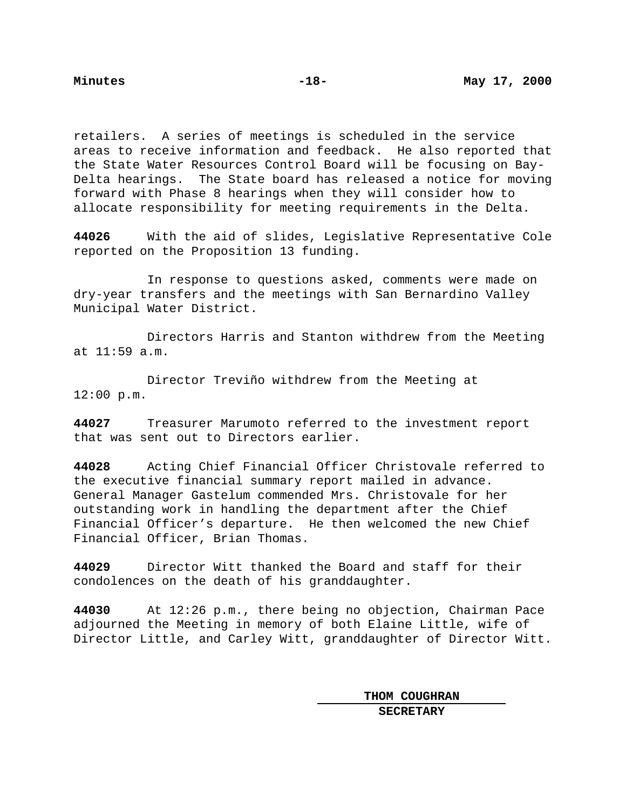retailers. A series of meetings is scheduled in the service areas to receive information and feedback. He also reported that the State Water Resources Control Board will be focusing on Bay-Delta hearings. The State board has released a notice for moving forward with Phase 8 hearings when they will consider how to allocate responsibility for meeting requirements in the Delta.

**44026** With the aid of slides, Legislative Representative Cole reported on the Proposition 13 funding.

In response to questions asked, comments were made on dry-year transfers and the meetings with San Bernardino Valley Municipal Water District.

Directors Harris and Stanton withdrew from the Meeting at 11:59 a.m.

Director Treviño withdrew from the Meeting at 12:00 p.m.

**44027** Treasurer Marumoto referred to the investment report that was sent out to Directors earlier.

**44028** Acting Chief Financial Officer Christovale referred to the executive financial summary report mailed in advance. General Manager Gastelum commended Mrs. Christovale for her outstanding work in handling the department after the Chief Financial Officer's departure. He then welcomed the new Chief Financial Officer, Brian Thomas.

**44029** Director Witt thanked the Board and staff for their condolences on the death of his granddaughter.

**44030** At 12:26 p.m., there being no objection, Chairman Pace adjourned the Meeting in memory of both Elaine Little, wife of Director Little, and Carley Witt, granddaughter of Director Witt.

> **THOM COUGHRAN SECRETARY**